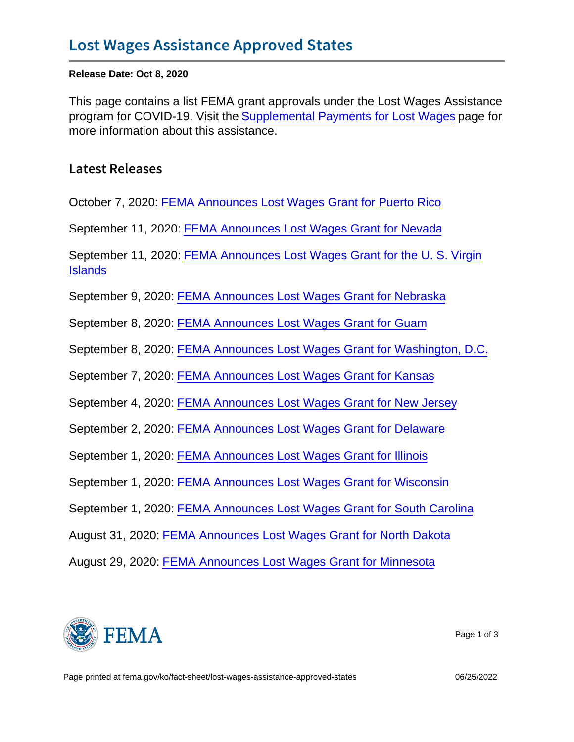Release Date: Oct 8, 2020

This page contains a list FEMA grant approvals under the Lost Wages Assistance program for COVID-19. Visit the [Supplemental Payments for Lost Wages](https://www.fema.gov/disasters/coronavirus/governments/supplemental-payments-lost-wages) page for more information about this assistance.

Latest Releases

October 7, 2020: [FEMA Announces Lost Wages Grant for Puerto Rico](https://www.fema.gov/press-release/20201007/fema-announces-lost-wages-grant-puerto-rico)

September 11, 2020: [FEMA Announces Lost Wages Grant for Nevada](https://www.fema.gov/press-release/20200911/fema-announces-lost-wages-grant-nevada)

September 11, 2020: [FEMA Announces Lost Wages Grant for the U. S. Virgin](https://www.fema.gov/press-release/20200911/fema-announces-lost-wages-grant-u-s-virgin-islands) **[Islands](https://www.fema.gov/press-release/20200911/fema-announces-lost-wages-grant-u-s-virgin-islands)** 

September 9, 2020: [FEMA Announces Lost Wages Grant for Nebraska](https://www.fema.gov/press-release/20200909/fema-announces-lost-wages-grant-nebraska)

September 8, 2020: [FEMA Announces Lost Wages Grant for Guam](https://www.fema.gov/press-release/20200908/fema-announces-lost-wages-grant-guam)

September 8, 2020: [FEMA Announces Lost Wages Grant for Washington, D.C.](https://www.fema.gov/press-release/20200908/fema-announces-lost-wages-grant-washington-dc)

September 7, 2020: [FEMA Announces Lost Wages Grant for Kansas](https://www.fema.gov/press-release/20200907/fema-announces-lost-wages-grant-kansas)

September 4, 2020: [FEMA Announces Lost Wages Grant for New Jersey](https://www.fema.gov/press-release/20200904/fema-announces-lost-wages-grant-new-jersey)

September 2, 2020: [FEMA Announces Lost Wages Grant for Delaware](https://www.fema.gov/press-release/20200902/fema-announces-lost-wages-grant-delaware)

September 1, 2020: [FEMA Announces Lost Wages Grant for Illinois](https://www.fema.gov/press-release/20200901/fema-announces-lost-wages-grant-illinois)

September 1, 2020: [FEMA Announces Lost Wages Grant for Wisconsin](https://www.fema.gov/press-release/20200901/fema-announces-lost-wages-grant-wisconsin)

September 1, 2020: [FEMA Announces Lost Wages Grant for South Carolina](https://www.fema.gov/press-release/20200901/fema-announces-lost-wages-grant-south-carolina)

August 31, 2020: [FEMA Announces Lost Wages Grant for North Dakota](https://www.fema.gov/press-release/20200831/fema-announces-lost-wages-grant-north-dakota)

August 29, 2020: [FEMA Announces Lost Wages Grant for Minnesota](https://www.fema.gov/press-release/20200829/fema-announces-lost-wages-grant-minnesota)



Page 1 of 3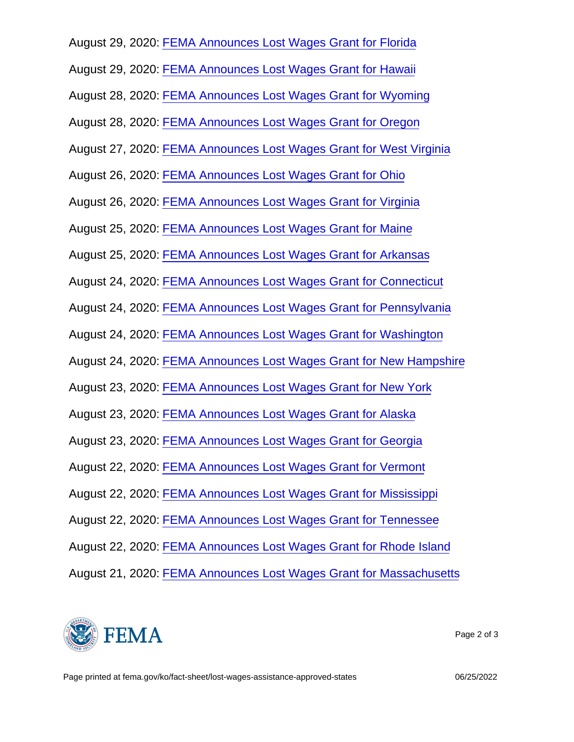August 29, 2020: [FEMA Announces Lost Wages Grant for Florida](https://www.fema.gov/press-release/20200829/fema-announces-lost-wages-grant-florida)

August 29, 2020: [FEMA Announces Lost Wages Grant for Hawaii](https://www.fema.gov/press-release/20200829/fema-announces-lost-wages-grant-hawaii)

August 28, 2020: [FEMA Announces Lost Wages Grant for Wyoming](https://www.fema.gov/press-release/20200828/fema-announces-lost-wages-grant-wyoming)

August 28, 2020: [FEMA Announces Lost Wages Grant for Oregon](https://www.fema.gov/press-release/20200828/fema-announces-lost-wages-grant-oregon)

August 27, 2020: [FEMA Announces Lost Wages Grant for West Virginia](https://www.fema.gov/press-release/20200827/fema-announces-lost-wages-grant-west-virginia)

August 26, 2020: [FEMA Announces Lost Wages Grant for Ohio](https://www.fema.gov/press-release/20200826/fema-announces-lost-wages-grant-ohio)

August 26, 2020: [FEMA Announces Lost Wages Grant for Virginia](https://www.fema.gov/press-release/20200826/fema-announces-lost-wages-grant-virginia)

August 25, 2020: [FEMA Announces Lost Wages Grant for Maine](https://www.fema.gov/press-release/20200825/fema-announces-lost-wages-grant-maine)

August 25, 2020: [FEMA Announces Lost Wages Grant for Arkansas](https://www.fema.gov/press-release/20200825/fema-announces-lost-wages-grant-arkansas)

August 24, 2020: [FEMA Announces Lost Wages Grant for Connecticut](https://www.fema.gov/press-release/20200824/fema-announces-lost-wages-grant-connecticut)

August 24, 2020: [FEMA Announces Lost Wages Grant for Pennsylvania](https://www.fema.gov/press-release/20200824/fema-announces-lost-wages-grant-pennsylvania)

August 24, 2020: [FEMA Announces Lost Wages Grant for Washington](https://www.fema.gov/press-release/20200824/fema-announces-lost-wages-grant-washington)

August 24, 2020: [FEMA Announces Lost Wages Grant for New Hampshire](https://www.fema.gov/press-release/20200824/fema-announces-lost-wages-grant-new-hampshire)

August 23, 2020: [FEMA Announces Lost Wages Grant for New York](https://www.fema.gov/press-release/20200823/fema-announces-lost-wages-grant-new-york)

August 23, 2020: [FEMA Announces Lost Wages Grant for Alaska](https://www.fema.gov/press-release/20200823/fema-announces-lost-wages-grant-alaska)

August 23, 2020: [FEMA Announces Lost Wages Grant for Georgia](https://www.fema.gov/press-release/20200823/fema-announces-lost-wages-grant-georgia)

August 22, 2020: [FEMA Announces Lost Wages Grant for Vermont](https://www.fema.gov/press-release/20200822/fema-announces-lost-wages-grant-vermont)

August 22, 2020: [FEMA Announces Lost Wages Grant for Mississippi](https://www.fema.gov/press-release/20200822/fema-announces-lost-wages-grant-mississippi)

August 22, 2020: [FEMA Announces Lost Wages Grant for Tennessee](https://www.fema.gov/press-release/20200822/fema-announces-lost-wages-grant-tennessee)

August 22, 2020: [FEMA Announces Lost Wages Grant for Rhode Island](https://www.fema.gov/press-release/20200822/fema-announces-lost-wages-grant-rhode-island)

August 21, 2020: [FEMA Announces Lost Wages Grant for Massachusetts](https://www.fema.gov/press-release/20200821/fema-announces-lost-wages-grant-massachusetts)



Page 2 of 3